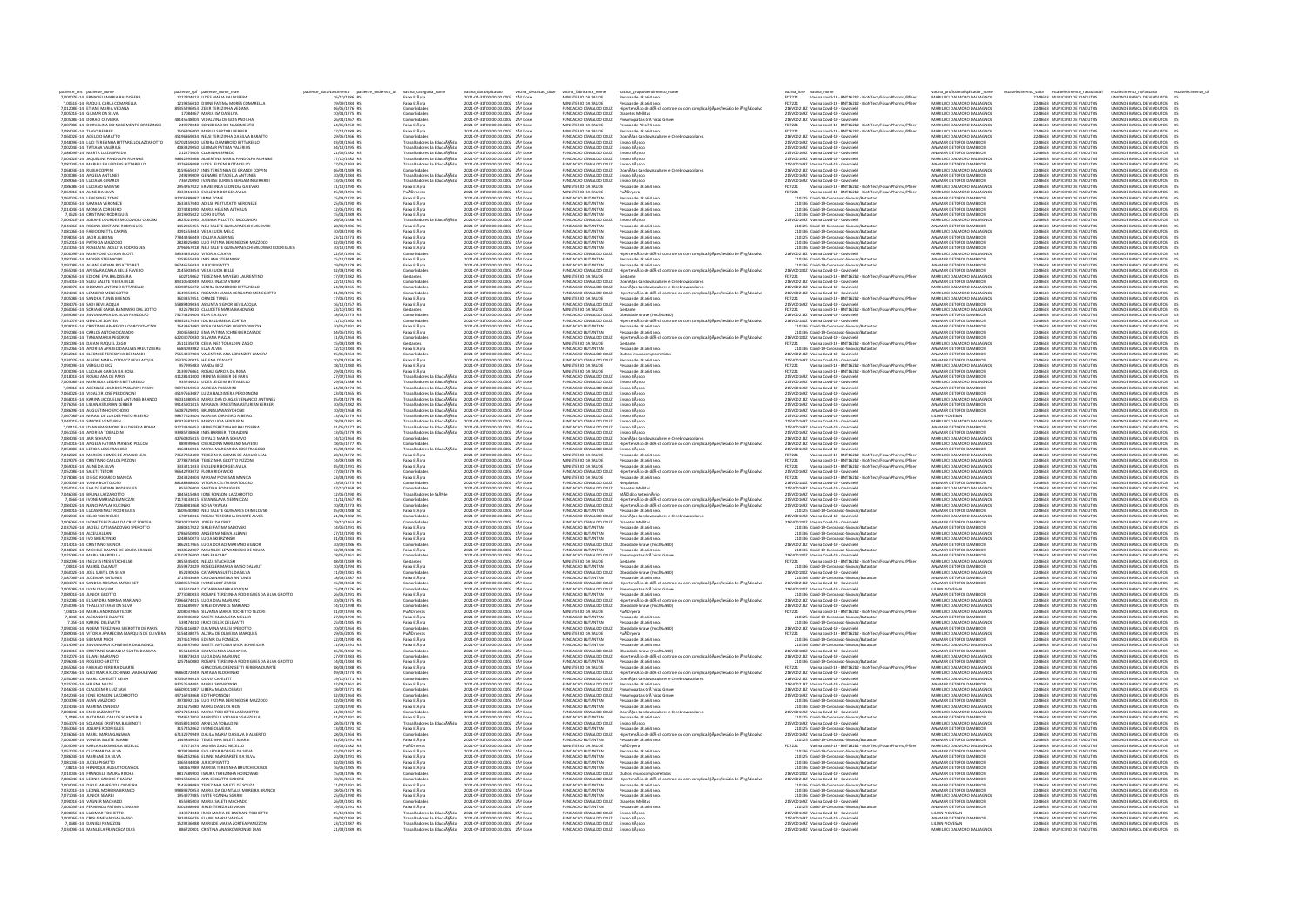| paciente_cns paciente_nome<br>7,00007E+14 FRANCIELI MARIA BALDISSERA                                                                                          | saciente_cpt paciente_nome_mae<br>1222704013 ILDES MARIA BALDISSERA                                                                              |                                                 | vacina_categoria_nome<br>Faixa EtĂj ria                                          | vecme_oataAptcacao vacina_do<br>2021-07-31T00:00:00.0002 1Ū Dose                                            |                                                                         | acina_gru                                                                                                                                             | Vacina covid-19 - BNT162b2 - BioNTech/Fosun Pharma/Pfizer                                                                                                | MARILUCI DALMORO DALLAGNO                                                        | 2248603 MUNICIPIO DE VIADUTOS                                                                   | UNIDADE BASICA DE VIADUTOS                                                                                                     |  |
|---------------------------------------------------------------------------------------------------------------------------------------------------------------|--------------------------------------------------------------------------------------------------------------------------------------------------|-------------------------------------------------|----------------------------------------------------------------------------------|-------------------------------------------------------------------------------------------------------------|-------------------------------------------------------------------------|-------------------------------------------------------------------------------------------------------------------------------------------------------|----------------------------------------------------------------------------------------------------------------------------------------------------------|----------------------------------------------------------------------------------|-------------------------------------------------------------------------------------------------|--------------------------------------------------------------------------------------------------------------------------------|--|
| 7.0051E+14 RAQUEL CARLA COMARELLA                                                                                                                             | 1219856010 DIONE FATIMA MORES COMARELLA                                                                                                          | 16/10/1986 RS<br>19/09/1984 RS                  | Faixa EtÃiria                                                                    | 2021-07-31T00:00:00.000Z 1Å* Dose                                                                           | MINISTERIO DA SAUDE<br>MINISTERIO DA SAUDE                              | Pessoas de 18 a 64 anos<br>Pessoas de 18 a 64 anos                                                                                                    | FD7221<br>FD7221 Vacina covid-19 - BNT162b2 - BioNTech/Fosun Pharma/Pfizer                                                                               | MARILUCI DALMORO DALLAGNOL                                                       | 2248603 MUNICIPIO DE VIADUTOS                                                                   | UNIDADE BASICA DE VIADUTOS RS                                                                                                  |  |
| 7.01208E+14 ETIANE MARIA VEDANA                                                                                                                               | 1219www.v www.communications.com                                                                                                                 | 8 at P/S/1976                                   |                                                                                  | 2021-07-31700:00:00.0002 2ÅP Dose                                                                           | INDAGAO OSWALDO CRID                                                    | Figuerana de la camada<br>Diabetes Melitus<br>trole ou com complica Āṣµes/lesĀ£o de Ā <sup>3</sup> rgĀ£o alvi                                         | 216VCD218Z Vacina Covid-19 - Covishield<br>215VCD169Z Vacina Covid-19 - Covishield                                                                       | MARILIUTI DAI MORO DALLAGNO                                                      | 2248603 MUNICIPIO DE VIADUTOS                                                                   | UNIDADE BASICA DE VIADUTOS                                                                                                     |  |
| ,00501E+14 GILMAR DA SILV                                                                                                                                     | 7084067 MARIA ISA DA SILVA                                                                                                                       | 0/01/1975 RS                                    | iomorbidade<br>iomorbidade                                                       |                                                                                                             | UNDACAO OSWALDO CRU                                                     |                                                                                                                                                       |                                                                                                                                                          | <b>ARILUCI DALMORO DALLAGNO</b>                                                  |                                                                                                 | ADE BASICA DE VIADUTOS                                                                                                         |  |
| 7,00508E+14 DORACI OLIVEIRA<br>7,00708E+14 DORVALINA DO NASCIMENTO BRZEZINSKI                                                                                 | 48145548004 VIDALVINA DE GOIS PADILHA<br>249078040 CONCEICAO DO NASCIMENTO                                                                       | 26/01/1967 RS<br>24/06/1950 RS                  | Comorbidades<br>Faixa EtĂjria                                                    | 2021-07-31T00:00:00.0002 2Å* Dose<br>2021-07-31T00:00:00.0002 1Å* Dose                                      | FUNDACAO OSWALDO CRUZ<br>MINISTERIO DA SAUDE                            | Pneumopatias CrĀ'nicas Graves<br>Pessoas de 70 a 74 anos                                                                                              | 216VCD218Z Vacina Covid-19 - Covishield<br>FD7221 Vacina covid-19 - BNT162b2 - BioNTech/Fosun Pharma/Pfizer                                              | MARILUCI DALMORO DALLAGNOL<br>MARILUCI DALMORO DALLAGNOL                         | 2248603 MUNICIPIO DE VIADUTOS<br>2248603 MUNICIPIO DE VIADUTOS                                  | UNIDADE BASICA DE VIADUTOS RS<br>UNIDADE BASICA DE VIADUTOS RS                                                                 |  |
| 7 08403F+14 TIAGO RERRER                                                                                                                                      | 2506206000 MARLELSARTORI RERRER                                                                                                                  | 17/17/1989 RS                                   | Faixa Ftäiria                                                                    | 2021-02-31700:00:00.0002 1 ÅR Dose                                                                          | MINISTERIO DA SALIDE                                                    | Pessoas de 18 a 64 anos                                                                                                                               | FD7221 Varina rovid.19 . RNT162h2 . RigNTech/Fourn Pharma/Pfize                                                                                          | MARILIICI DAIMORO DALLAGNOL                                                      | 2248603 MUNICIPIO DE VIADUTOS                                                                   | UNIDADE RASICA DE VIADUTOS RS                                                                                                  |  |
| 7,06002E+14 ADELCIO BARATT                                                                                                                                    | 5196869034 NELSI TEREZINHA DA SILVA BARATTO                                                                                                      |                                                 |                                                                                  | 2021-07-31T00:00:00.0002 2ÅP Dose                                                                           |                                                                         | Pessoas de 10 a 0<br>Doenças Cardio<br>Ensino Bæsico                                                                                                  |                                                                                                                                                          | MARILUCI DALMORO DALLAGNO<br>ANAMAR DETOFOL DAMBROSI                             |                                                                                                 |                                                                                                                                |  |
| 7,04809E+14 LUCI TERESINHA BITTARELLO LAZZAROTTO                                                                                                              | 50702459020 LENIRA DAMBROSO BITTARELLO                                                                                                           | 03/02/1964 RS                                   | .<br>Comorbidades<br>Frabalhadores da Educa§£o                                   |                                                                                                             | FUNDACAO OSWALDO CRUZ                                                   |                                                                                                                                                       | 216VCD218Z Vacina Covid-19 - Covishield<br>215VCD169Z Vacina Covid-19 - Covishield                                                                       |                                                                                  | 2248603 MUNICIPIO DE VIADOTOS                                                                   | UNIDADE BASICA DE VIADUTOS<br>UNIDADE BASICA DE VIADUTOS RS                                                                    |  |
| 7.00204E+14 TATIANA VALERIUS<br>7.08609E+14 MARTA LUIZA SFREDO                                                                                                | 4083329050 LEOMAR FATIMA VALERIUS<br>212275003 CLARINHA SFREDO                                                                                   | 04/12/1995 RS<br>21/06/1982 RS                  | Trabalhadores da EducaÃ4ão<br>Trabalhadores da EducaÃ4ão                         | 2021-07-31T00:00:00.000Z 2Ū Dose<br>2021-07-31T00:00:00.000Z 2A* Dose                                       | FUNDACAO OSWALDO CRUZ<br>FUNDACAO OSWALDO CRUZ                          | Ensino BAisico<br>Ensino BAisico                                                                                                                      | 215VCD169Z Vacina Covid-19 - Covishield<br>215VCD169Z Vacina Covid-19 - Covishield                                                                       | ANAMAR DETOFOL DAMBROSI<br>ANAMAR DETOFOL DAMBROSI                               | 2248603 MUNICIPIO DE VIADUTOS<br>2248603 MUNICIPIO DE VIADUTOS                                  | UNIDADE BASICA DE VIADUTOS RS<br>UNIDADE BASICA DE VIADUTOS RS                                                                 |  |
| 7,00402E+14 JAQUELINE PANDOLFO RUHMKI                                                                                                                         | 98642995068 ALBERTINA MARIA PANDOLFO RUHMKE                                                                                                      | 17/10/1982 RS                                   | rabalhadores da Educação                                                         |                                                                                                             | FUNDACAO OSWALDO CRUZ                                                   | Ensino BĂjsico                                                                                                                                        | 215VCD1692 Vacina Covid-19 - Covishield                                                                                                                  | MARILUCI DALMORO DALLAGNO                                                        | 2248603 MUNICIPIO DE VIADUTOS                                                                   | UNIDADE BASICA DE VIADUTOS RS                                                                                                  |  |
| 7,08204E+14 MARIELLEN LEIDENS BITTARELLO                                                                                                                      |                                                                                                                                                  | 27/05/1993 RS                                   | rabalhadores da Educação                                                         | 2021-07-31T00:00:00.0002 2ÅP Dose                                                                           | FUNDACAO OSWALDO CRUZ                                                   | Ensino BAjsico                                                                                                                                        | 215VCD169Z Vacina Covid-19 - Covishield                                                                                                                  | ANAMAR DETOFOL DAMBROSI                                                          | 2248603 MUNICIPIO DE VIADUTOS                                                                   | UNIDADE BASICA DE VIADUTOS RS                                                                                                  |  |
| 7,06803E+14 RUBIA COPPINI                                                                                                                                     | 3076868098 LIDES LEIDENS BITTARELLO<br>2159665037 INES TEREZINHA DE GRANDI COPPINI                                                               | 06/04/1989 RS                                   | Comorbidades                                                                     | 2021-07-31T00:00:00.0002 2Å* Dose                                                                           | FUNDACAO OSWALDO CRUZ                                                   | Doen§as Cardio<br>lares e Cerebrovasculares                                                                                                           | 216VCD218Z Vacina Covid-19 - Covishield                                                                                                                  | MARILUCI DALMORO DALLAGNOL                                                       | 2248603 MUNICIPIO DE VIADUTOS                                                                   | UNIDADE BASICA DE VIADUTOS RS                                                                                                  |  |
| 2 00008F+14 ANGELA ANTUNES                                                                                                                                    | 249199009 GENAIRE OTADELLA ANTUNES                                                                                                               | 20/03/1984 BS                                   | <b>Trahalhadores da FduraÃ&amp;ão</b>                                            | 2021-02-31700:00:00.0002 2 ÅR Dose                                                                          | FUNDAÇÃO OS WALDO CRUZ                                                  | Finding Raider                                                                                                                                        | 215VCD1697 Vacina Covid-19 - Covishield                                                                                                                  | ANAMAR DETORN DAMBROS                                                            | 2248603 MUNICIPIO DE VIADUTOS                                                                   | UNIDADE RASICA DE VIADUTOS RS                                                                                                  |  |
| 08906F+14   UCLANA GIRARE                                                                                                                                     | 736720090 IVANII SE LURDES RERGAMIN GIRARDI                                                                                                      | 3/05/1984 BS                                    | .<br>rabalhadores da Educação                                                    | 2021-02-31700:00:00.0002 2 ÅR Dose                                                                          | FUNDAÇÃO OS WALDO CRUZ                                                  | Finding Raildin                                                                                                                                       | 215VCD169Z Vacina Covid-19 - Covishield                                                                                                                  | ANAMAR DETORN DAMBROS                                                            | 2248603 MUNICIPIO DE VIADUTOS                                                                   | UNIDADE RASICA DE VIADUTOS RS                                                                                                  |  |
| 7,0860BE+14 LUCIANO GAIEVSK                                                                                                                                   | 2954767022 ERMELINDA LEONIDIA GAIEVSKI                                                                                                           | 31/12/1990 RS                                   | Faixa EtĂjria                                                                    | 2021-07-31T00:00:00.0002 1Å* Dose                                                                           | MINISTERIO DA SAUDE                                                     | Pessoas de 18 a 64 ano                                                                                                                                | FD7221 Vacina covid-19 - BNT162b2 - BioNTech/Fosun Pharma/Pfize                                                                                          | MARILUCI DALMORO DALLAGNO                                                        | 2248603 MUNICIPIO DE VIADUTOS                                                                   | UNIDADE BASICA DE VIADUTOS RS                                                                                                  |  |
| 7.06901E+14 ALINE DA SILVA<br>7.06002E+14 LENES INESTOME                                                                                                      | 3333211033 EVALENIR BORGES AVILA<br>ROOFSSSRIST IRMA TOMP                                                                                        | 05/02/1991 RS<br>25/03/1970 RS                  | Pu©rperat<br>Faixa EtAiria                                                       | 2021-07-31T00:00:00.000Z 1Å* Dose<br>2021-07-31T00:00:00.000Z 1ÅP Dose                                      | MINISTERIO DA SAUDE<br>FUNDACAO BUTANTAN                                | PuĀDroera<br>Pessoas de 18 a 64 anos                                                                                                                  | FD7221<br>Vacina covid-19 - BNT162b2 - BioNTech/Fosun Pharma/Pfizer<br>210325 Covid-19-Coronavac-Sinovac/Butantan                                        | MARILUCI DALMORO DALLAGNOL<br>ANAMAR DETOFOL DAMBROSI                            | 2248603 MUNICIPIO DE VIADUTOS<br>2248603 MUNICIPIO DE VIADUTOS                                  | UNIDADE BASICA DE VIADUTOS RS<br>UNIDADE BASICA DE VIADUTOS RS                                                                 |  |
| 7.00005E+14 SAMARA VERONEZ                                                                                                                                    | 2633357040 ADILSE PERTUZATTI VERONEZE                                                                                                            | 25/05/1990 RS<br>25/05/1990 RS                  | Faixa EtĂjria<br>Faixa EtĂjria                                                   | 2021-07-31T00:00:00.0002 1Å* Dose                                                                           | FUNDACAO BUTANTAN<br>FUNDACAO BUTANTAN<br>FUNDACAO BUTANTAN             |                                                                                                                                                       |                                                                                                                                                          | ANAMAR DETOFOL DAMBROS                                                           | 2248603 MUNICIPIO DE VIADOTOS                                                                   | UNIDADE BASICA DE VIABUTOS<br>NIDADE BASICA DE VIADUTOS RS<br>NIDADE BASICA DE VIADUTOS RS                                     |  |
| 7,01404E+14 MONICA CORDEIRO                                                                                                                                   | 074281090 MARIA HELENA ALTHAUS                                                                                                                   |                                                 |                                                                                  |                                                                                                             |                                                                         | Pessoas de 18 a 64 ano<br>Pessoas de 18 a 64 ano                                                                                                      | 210336 Covid-19-Coronavac-Sinovac/Butantan                                                                                                               | ANAMAR DETOFOL DAMBROS                                                           |                                                                                                 |                                                                                                                                |  |
| 7,052E+14 CRISTIANO RODRIGUES                                                                                                                                 | 2319905022 LOIRI DUTRA                                                                                                                           | 15/01/1989 RS                                   | Faixa EtÃjria                                                                    | 2021-07-31T00:00:00.000Z 1Å* Dose                                                                           |                                                                         | Pessoas de 18 a 64 anos                                                                                                                               | 210336 Covid-19-Coronavac-Sinovac/Butantan                                                                                                               | ANAMAR DETOFOL DAMBROSI                                                          | 2248603 MUNICIPIO DE VIADUTOS                                                                   | UNIDADE BASICA DE VIADUTOS RS                                                                                                  |  |
| 7.00401E+14 JOSIANE LOURDES SACCOMORI OLKOSKI<br>A1065+14 REGINA CRISTIANE RODRIGUES                                                                          | 1825021040 JUSSARA PILLOTTO SACCOMORI<br>452065055 NELL SALETE GUIMARAES CHIMILOVSKI                                                             | 26/08/1988 RS<br>28/09/1986 BS                  | Trabalhadores da EducaÃ4ão<br><b>Faixa Ftairia</b>                               | 2021-07-31T00:00:00.000Z 2A* Dose<br>2021-02-31T00:00:00.0002 1 ÅR Dose                                     | FUNDACAO OSWALDO CRUZ<br>FUNDAÇÃO BUTANTAN                              | Ensino BĂisico<br>Pessoas de 18 a 64 ano                                                                                                              | 215VCD169Z Vacina Covid-19 - Covishield                                                                                                                  | MARILUCI DALMORO DALLAGNO<br>ANAMAR DETORNI DAMBROSI                             | 2248603 MUNICIPIO DE VIADUTOS<br>2248603 MUNICIPIO DE VIADUTOS                                  | UNIDADE BASICA DE VIADUTOS RS<br>UNIDADE RASICA DE VIADUTOS RS                                                                 |  |
| 7,08106E+14 FABIO ONETTA CARPES                                                                                                                               | 3091553043 VERA LUCIA MELO                                                                                                                       | 30/08/1990 RS                                   |                                                                                  |                                                                                                             |                                                                         | Pessoas de 18 a 64 ano                                                                                                                                | 210325 Covid-19-Coronavac-Sinovac/Butantan                                                                                                               |                                                                                  |                                                                                                 |                                                                                                                                |  |
| 7,09805E+14 JACIR ALBRING                                                                                                                                     | 77844246049 IDALINA ALBRING                                                                                                                      | 23/11/1973 RS                                   | ratea Etăjria<br>Faixa Etăjria<br>Faixa Etăjria                                  | 2021-07-31T00:00:00.0002 1ÅP Dose                                                                           | FUNDACAO BUTANTAN<br>FUNDACAO BUTANTAN                                  | Pessoas de 18 a 64 ano                                                                                                                                | 210325 Covid-19-Coronavac-Sinovac/Butantar                                                                                                               | MARILUCI DALMORO DALLAGNOL<br>ANAMAR DETOFOL DAMBROSI                            | 2248603 MUNICIPIO DE VIADOTOS                                                                   | UNIDADE BASICA DE VIADUTOS<br>UNIDADE BASICA DE VIADUTOS RS<br>UNIDADE BASICA DE VIADUTOS RS                                   |  |
| 7.05201E+14 PATRICIA MAZZOCO                                                                                                                                  | 2828925080 LUCI FATIMA DERENGOSKI MAZZOCO                                                                                                        | 02/09/1990 RS                                   | Faixa EtÄiria                                                                    | 2021-07-31T00:00:00.000Z 1Å* Dose                                                                           | FUNDACAO BUTANTAN                                                       | Pessoas de 18 a 64 anos                                                                                                                               | 210336 Covid-19-Coronavac-Sinovac/Butantan                                                                                                               | ANAMAR DETOFOL DAMBROSI                                                          | 2248603 MUNICIPIO DE VIADUTOS                                                                   | UNIDADE BASICA DE VIADUTOS RS                                                                                                  |  |
| 202305F+14 ROSFIAINF ADELITA RODRIGUES                                                                                                                        | 2796967018 NELI SALETE GUIMARAES CHIMILOWSKI RODRIGUES                                                                                           | 30/12/1990 RS<br>22/07/1964 SC                  | Faixa EtĂjria<br>Comorbidade<br>Faixa EtĂjria                                    | 2021-07-31T00:00:00.0002 1ÅP Dose                                                                           | <b>FUNDACAO BUTANTAN</b>                                                | Pessoas de 18 a 64 ano                                                                                                                                | 210336 Covid-19-Coronavac-Sinovac/Butantan                                                                                                               | ANAMAR DETOROL DAMBROS                                                           | 2248603 MUNICIPIO DE VIADUTOS                                                                   | UNIDADE BASICA DE VIADUTOS RS                                                                                                  |  |
| 00009E+14 MARIVONE CUIAVA BLOTZ<br>7,08204E+14 MOISES STEFANOSKI                                                                                              | 4351020 VITORIA CUIAVA<br>1258655039 INES ANA STEFANOSKI                                                                                         | 15/12/1988 RS                                   |                                                                                  | 2021-07-31T00:00:00.0002 1Å* Dose                                                                           | FUNDACAO BUTANTAN<br>FUNDACAO OSWALDO CRUZ<br>FUNDACAO BUTANTAN         | ilpertensão de difÃ-cil controle ou com complicaçÃμes/lesão de Ã <sup>3</sup> rgão alvo                                                               | 216VCD218Z Vacina Covid-19 - Covishield                                                                                                                  | MARILUCI DALMORO DALLAGNO<br>ANAMAR DETOFOL DAMBROSI                             | 2248603 MUNICIPIO DE VIADUTOS<br>2248603 MUNICIPIO DE VIADUTOS                                  | IDADE BASICA DE VIADUTOS<br>UNIDADE BASICA DE VIADUTOS RS                                                                      |  |
| 7,09208E+14 ALIANE FATIMA PIGATTO BET                                                                                                                         | 96746556034 JURICI PIGATTO                                                                                                                       | 19/09/1979 RS                                   | Faixa EtĂjria                                                                    | 2021-07-31T00:00:00.0002 1Å* Dose                                                                           | FUNDACAO BUTANTAN                                                       | Pessoas de 18 a 64 anos<br>Pessoas de 18 a 64 anos                                                                                                    | 210336 Covid-19-Coronavac-Sinovac/Butantan<br>210336 Covid-19-Coronavac-Sinovac/Butantan                                                                 | ANAMAR DETOFOL DAMBROSI                                                          | 2248603 MUNICIPIO DE VIADUTOS                                                                   | UNIDADE BASICA DE VIADUTOS RS                                                                                                  |  |
| 7 DESDAF+14 ANISSARA CARLA RELLE FAVERO                                                                                                                       | 2145903054 VERA LUCIA RELLE                                                                                                                      | 02/03/1990 BS                                   |                                                                                  | 2021-02-31700:00:00.0007 2 ÅR Dose                                                                          | FUNDACAO OSWALDO CRUZ                                                   | Hipertensão de ditÃ-cil controle ou com complicaçÃues/lesão de Ã <sup>3</sup> rgão alvo                                                               | 216VCD1807 Vacina Covid-19 - Covidbield                                                                                                                  | ANAMAR DETORNI DAMBROSI                                                          | 2248603 MUNICIPIO DE VIADUTOS                                                                   | UNIDADE RASICA DE VIADUTOS RS                                                                                                  |  |
| 7,00005E+14 FORDARD DATA BELLETA<br>7,00605E+14 EDIONE EVA BALDISSERA<br>7,05401E+14 SUELI SALETE VIEIRA BELLE                                                | 602719062 TEREZINHA MAYESKI LAURENTINO<br>89310640049 MARIA INACIA VIEIRA                                                                        | 17/07/1982 RS                                   | Comorbidade<br>Gestantes<br>Comorbidade                                          | 2021-07-31T00:00:00.0002 1ÅP Dose                                                                           | MINISTERIO DA SAUDE<br>FUNDAÇÃO OSWALDO CRUZ                            |                                                                                                                                                       | 216 VCD 2121 Vacina COVID-19 - COVISITING<br>FD7221 Vacina COVId-19 - BNT162b2 - BioNTech/Fosun Pharma/Pfizer<br>216VCD218Z Vacina Covid-19 - Covishield | MARILUCI DALMORO DALLAGNOL<br>ANAMAR DETOFOL DAMBROSI                            | 2248603 MUNICIPIO DE VIADOTOS                                                                   | UNIDADE BASICA DE VIADUTOS RS<br>UNIDADE BASICA DE VIADUTOS RS                                                                 |  |
|                                                                                                                                                               |                                                                                                                                                  | 22/12/1961 RS                                   |                                                                                  |                                                                                                             |                                                                         | Gestante<br>Doen§as Cardiovasculares e Cerebrovasculares                                                                                              |                                                                                                                                                          |                                                                                  |                                                                                                 |                                                                                                                                |  |
| 7.00007E+14 DEOMAR ANTONIO BITTARELLO<br>7.02404F+14   FANDRO MENEGOTTO                                                                                       | 43398766072 LENIRA DAMBROSO BITTARELLO<br>649853051 ROSMARI MARIA BERGAMO MENEGOTTO                                                              | 24/02/1965 RS                                   | Comorbidades<br>omorbidade                                                       | 2021-07-31T00:00:00.000Z 2ÅP Dose<br>2021-07-31T00:00:00.0002 2Å* Dose                                      | FUNDACAO OSWALDO CRUZ<br>FUNDACAO OSWALDO CRUZ                          | DoenĀfas Cardiovasculares e Cerebrovasculares<br>Hipertensão de difÃ-cil controle ou com complicações/lesão de Ã <sup>3</sup> rgão alvo               | 216VCD218Z Vacina Covid-19 - Covishield                                                                                                                  | MARILUCI DALMORO DALLAGNOL<br>MARILLICI DAI MORO DALLAGNO                        | 2248603 MUNICIPIO DE VIADUTOS<br>2248603 MUNICIPIO DE VIADUTOS                                  | UNIDADE BASICA DE VIADUTOS RS<br>UNIDADE RASICA DE VIADUTOS RS                                                                 |  |
| ,00508E+14 SANDRA TUNES BUENOS                                                                                                                                |                                                                                                                                                  | 01/08/1996 RS                                   | aixa EtĀjria                                                                     |                                                                                                             |                                                                         | essoas de 18 a 64 anos                                                                                                                                | 216VCD2182 Vacina Covid-19 - Covinhield<br>FD7221 Vacina covid-19 - ENT162b2 - BioNTech/Fosun Pharma/Pfizer<br>FD7221 Vacina Covid-19 - Covishield       |                                                                                  |                                                                                                 |                                                                                                                                |  |
| 7,08407E+14 SADI BEVILACQUA                                                                                                                                   | 3642833031 NOSMANI NARIA BENGAMO ME<br>3603357051 ORAIDE TUNES<br>55889409034 ASSUNTA SIGNOR BEVILACQUA                                          | 16/12/1957 RS                                   | Faixa EtĂjria                                                                    | 2021-07-31T00:00:00.0002 1At Dose                                                                           | NINISTERIO DA SAUDE<br>MINISTERIO DA SAUDE<br>FUNDACAO OSWALDO CRUZ     | Pessoas de 18 a 64 anos                                                                                                                               |                                                                                                                                                          | MARILUCI DALMORO DALLAGNO<br>ANAMAR DETOFOL DAMBROSI                             | 2248603 MONICIPIO DE VIADOTOS<br>2248603 MUNICIPIO DE VIADUTOS                                  | UNIDADE BASICA DE VIADUTOS<br>UNIDADE BASICA DE VIADUTOS RS<br>UNIDADE BASICA DE VIADUTOS RS                                   |  |
| 7,06006E+14 SORIANE CARLA BANOWSKI DAL ZOTTO                                                                                                                  | 922578010 CLAUDETE MARIA BANOWSKI                                                                                                                | 23/10/1981 RS                                   | Gestantes                                                                        | 2021-07-31T00:00:00.000Z 2Ū Dose                                                                            | MINISTERIO DA SAUDE                                                     | Gestante                                                                                                                                              | FD7221 Vacina covid-19 - BNT162b2 - BioNTech/Fosun Pharma/Pfizer                                                                                         | MARILUCI DALMORO DALLAGNOL                                                       | 2248603 MUNICIPIO DE VIADUTOS                                                                   | UNIDADE BASICA DE VIADUTOS RS                                                                                                  |  |
| 7 DEROBE+14 SILVIA MARIA DA SILVA PANDOLEO                                                                                                                    | 75274329004 FDIR DA SIVA                                                                                                                         | 18/02/1973 BS                                   | Comorbidade                                                                      | 2021-02-31700:00:00.0007 2 ÅR Dose                                                                          | FUNDACAO OSWALDO CRUZ                                                   | Chesidade Grave (Imr3%-X40)                                                                                                                           | 216VCD218Z Vacina Covid-19 - Covishield                                                                                                                  | ANAMAR DETORN DAMBROS                                                            | 2248603 MUNICIPIO DE VIADUTOS                                                                   | UNIDADE RASICA DE VIADUTOS RS                                                                                                  |  |
| 7,05107E+14 GENILDE ZORTEA<br>7,05107E+14 GENILDE ZORTEA<br>7,00901E+14 CRISTIANE APARECIDA OGRODOWCZYI                                                       | 15214329004 EDIR DA SLVA<br>65652517034 IDA BALDISSERA ZORTEA<br>2643362080 ROSA KANIGOSKI OGRODOWCZYK                                           | 11/10/1962 RS                                   | Comorbidade<br>Faixa EtÃjria                                                     | 2021-07-31T00:00:00.0002 2ÅP Dose                                                                           | FUNDACAO OSWALDO CRUZ<br>FUNDACAO BUTANTAN                              | பணமான பான ராகச்சைவர்<br> HipertensAEo de difA.cil controle ou com complicaA§Aµes/lesAEo de A <sup>3</sup> rgAEo alvo<br> Pessoas de 18 a 64 anos      | 216VCD1802 Vacina Covid-19 - Covishield<br>216VCD1802 Vacina Covid-19 - Covishield<br>210336 Covid-19-Coronavac-Sinovac/Butantar                         | ANAMAR DETOROL DAMBROS                                                           | 2248603 MONICIPIO DE VIADOTOS<br>2248603 MUNICIPIO DE VIADUTOS<br>2248603 MUNICIPIO DE VIADUTOS | UNIDADE BASICA DE VIADOTOS<br>UNIDADE BASICA DE VIADUTOS RS<br>UNIDADE BASICA DE VIADUTOS RS                                   |  |
| 7.09208E+14 CARLOS ANTONIO CASADO                                                                                                                             | 2304658032 EMA FATIMA SCHNEIDER CASADO                                                                                                           | 80/06/1991 RS<br>04/06/1991 RS                  | Faixa EtÄiria                                                                    | 2021-07-31T00:00:00.000Z 1Å* Dose                                                                           | <b>FUNDACAO BUTANTAN</b>                                                | Pessoas de 18 a 64 anos                                                                                                                               | 210336 Covid-19-Coronavac-Sinovac/Butantan                                                                                                               | ANAMAR DETOFOL DAMBROSI                                                          | 2248603 MUNICIPIO DE VIADUTOS                                                                   | UNIDADE BASICA DE VIADUTOS RS                                                                                                  |  |
| 7.04104E+14 TANIA MARIA PEGORINI                                                                                                                              | 62203070030 SILVANA PIAZZA                                                                                                                       | 31/05/1964 RS                                   | Comorbidade                                                                      | 2021-07-31T00:00:00.0002 2A* Dose                                                                           | FUNDACAO OSWALDO CRUZ                                                   | Hipertensão de difÃ-cil controle ou com complicaçÃues/lesão de Ã <sup>3</sup> rgão alvo                                                               | 216VCD1802 Vacina Covid-19 - Covishield                                                                                                                  | ANAMAR DETOFOL DAMBROSI                                                          | 2248603 MUNICIPIO DE VIADUTOS                                                                   | UNIDADE BASICA DE VIADUTOS RS                                                                                                  |  |
| 7,08109E+14 DAIANI RAQUEL ZAGO<br>7,08109E+14 DAIANI RAQUEL ZAGO<br>7,0520EE+14 ANDREIA APARECIDA ALVES KREUTZBERG<br>7,06201E+14 CLEONICE TERESINHA BERNARDI | 2511135078 CELIA INES TOBALDINI ZAGO                                                                                                             | 15/08/1989 R                                    | Gestantes<br>Faixa EtÃiria                                                       | 2021-07-31T00:00:00.0002 2ÅP Dose                                                                           | MINISTERIO DA SAUDE<br>FUNDACAO BUTANTAN                                |                                                                                                                                                       | Vacina covid-19 - BNT162b2 - BioNTech/Fosun Pharma/Pfizer<br>FD7221                                                                                      | MARILUCI DALMORO DALLAGNOI                                                       | 2248603 MUNICIPIO DE VIADOTOS                                                                   | UNIDADE BASICA DE VIADUTOS RS<br>UNIDADE BASICA DE VIADUTOS RS                                                                 |  |
|                                                                                                                                                               | 6684093982 ELZA ALVES<br>75654237004 VALENTINA ANA LORENZETI LAMERA                                                                              | 12/10/1984 RS                                   |                                                                                  |                                                                                                             |                                                                         | Pessoas de 18 a 64 anos                                                                                                                               | 210336 Covid-19-Coronavac-Sinovac/Butantan                                                                                                               |                                                                                  |                                                                                                 |                                                                                                                                |  |
| 7 03002F+14 ALSENE MARIA OTOVICZ REVILACOUA                                                                                                                   | 35370530025 HELENA OTAVICZ                                                                                                                       | 05/06/1964 RS<br><b>DONATOR RS</b>              | Comorbidades<br>Faixa Ftăiria                                                    | 2021-07-31T00:00:00.0002 2Å* Dose<br>2021-02-31700:00:00.0007 2 ÅR Dose                                     | FUNDACAO OSWALDO CRUZ<br>FUNDAÇÃO OSWALDO CRUZ                          | Outros Imuno<br>Personas de 18 a 64 anos                                                                                                              | 216VCD218Z Vacina Covid-19 - Covishield                                                                                                                  | ANAMAR DETOFOL DAMBROSI<br>ANAMAR DETORNI DAMBROSI                               | 2248603 MUNICIPIO DE VIADUTOS<br>2248603 MUNICIPIO DE VIADUTOS                                  | UNIDADE BASICA DE VIADUTOS RS<br>UNIDADE RASICA DE VIADUTOS RS                                                                 |  |
| 7.09009F+14 VERGIUO BICZ                                                                                                                                      | 957995083 VANDA RICZ                                                                                                                             | 18/12/1980 BS                                   | Faixa Frăiris                                                                    | 2021-02-31700:00:00.0002 1 ÅR Dose                                                                          | MINISTERIO DA SALIDE                                                    | Personas de 18 a 64 any                                                                                                                               | 215VCD169Z Vacina Covid-19 - Covishield<br>FD7221 Vacina covid-19 - BNT162b2 - BioNTech/Fosun Pharma/Pfizer                                              | MARILIO DAIMORO DALLAGNO                                                         | 2248603 MUNICIPIO DE VIADUTOS                                                                   | UNIDADE RASICA DE VIADUTOS RS                                                                                                  |  |
| 7,00009E+14 LUCIANA GARCIA DA ROS                                                                                                                             | 2139976061 ROSALI GARCIA DA ROSA                                                                                                                 | 29/01/1991 RS                                   | .<br>Faixa EtĂjiria                                                              | 2021-07-31T00:00:00.0002 1Å* Dos                                                                            | MINISTERIO DA SAUDE                                                     | Pessoas de 18 a 64 ano                                                                                                                                | Vacina covid-19 - BNT162b2 - BioNTech/Fosun Pharma/Pfizer<br>FD7221                                                                                      | ANAMAR DETOFOL DAMBROS                                                           | 2248603 MUNICIPIO DE VIADUTOS                                                                   | UNIDADE BASICA DE VIADUTOS RS                                                                                                  |  |
| 7.01801E+14 ROSALI ANA DE PARIS                                                                                                                               | 41128141000 IRENITA BEBBER DE PARIS                                                                                                              | 27/07/1963 RS                                   | Trabalhadores da EducaÃ4ão                                                       | 2021-07-31T00:00:00.0002 2Å* Dose                                                                           | FUNDACAO OSWALDO CRUZ                                                   | Ensino BAisico                                                                                                                                        | 215VCD169Z Vacina Covid-19 - Covishield                                                                                                                  | ANAMAR DETOFOL DAMBROSI                                                          | 2248603 MUNICIPIO DE VIADUTOS                                                                   | UNIDADE BASICA DE VIADUTOS RS                                                                                                  |  |
| 7.00508E+14 MARINDIA LEIDENS BITTARELLO                                                                                                                       | 933744021 LIDES LEIDENS BITTARELLO                                                                                                               | 29/04/1986 RS                                   | Trabalhadores da EducaÃ4ão                                                       | 2021-07-31T00:00:00.000Z 2Ū Dose                                                                            | FUNDACAO OSWALDO CRUZ                                                   | Ensino BAisico                                                                                                                                        | 215VCD169Z Vacina Covid-19 - Covishield                                                                                                                  | MARILUCI DALMORO DALLAGNOL                                                       | 2248603 MUNICIPIO DE VIADUTOS                                                                   | UNIDADE BASICA DE VIADUTOS RS                                                                                                  |  |
| 7,0901E+14 ADENILSE LOURDES PASSARINI PASINI<br>7,0901E+14 ADENILSE LOURDES PASSARINI PASINI                                                                  | 90971019053 AURELIA PASSARINI<br>45197563087 LUIZA BALDISSERA PERDONCINI                                                                         | 24/02/1974 RS<br>24/02/1974 RS<br>23/01/1965 RS | rabalhadores da Educação<br>rabalhadores da Educação<br>rabalhadores da Educação | 2021-07-31T00:00:00.0002 2ÅP Dose                                                                           | FUNDACAO OSWALDO CRUZ<br>FUNDACAO OSWALDO CRUZ                          | Ensino BĂjsico<br>Ensino BĂjsico                                                                                                                      | 215VCD1692 Vacina Covid-19 - Covinhing                                                                                                                   | ANAMAR DETOFOL DAMBROSI                                                          | 2248603 MUNICIPIO DE VIADOTOS                                                                   | UNIDADE BASICA DE VIADUTOS RS<br>UNIDADE BASICA DE VIADUTOS RS<br>UNIDADE BASICA DE VIADUTOS RS                                |  |
|                                                                                                                                                               | 96031980053 MARIA DAS CHAGAS VENANCIO ANTUNES                                                                                                    |                                                 |                                                                                  |                                                                                                             |                                                                         |                                                                                                                                                       |                                                                                                                                                          |                                                                                  |                                                                                                 |                                                                                                                                |  |
| 7,06801E+14 KARINA JACQUELINE ANTUNES BRANCO<br>7.07605E+14 LILIAN ASTURIAN KERBER                                                                            | 99145901015 MIRALVA ERNESTINA ASTURIAN KERBER                                                                                                    | 05/04/1979 RS<br>30/06/1982 RS                  | Trabalhadores da Educação<br>Trabalhadores da EducaÃ4ão                          | 2021-07-31T00:00:00.0002 2Ū Dose<br>2021-07-31T00:00:00.0002 2A* Dose                                       | FUNDACAO OSWALDO CRUZ<br>FUNDACAO OSWALDO CRUZ                          | Ensino BAjsico<br>Ensino BAisico                                                                                                                      | 216VCD218Z Vacina Covid-19 - Covishield<br>215VCD169Z Vacina Covid-19 - Covishield                                                                       | MARILUCI DALMORO DALLAGNOL<br>ANAMAR DETOFOL DAMBROSI                            | 2248603 MUNICIPIO DE VIADUTOS<br>2248603 MUNICIPIO DE VIADUTOS                                  | UNIDADE BASICA DE VIADUTOS RS<br>UNIDADE BASICA DE VIADUTOS RS                                                                 |  |
| <b>GRADRE+14 AUGUSTINHO SYCHOSK</b>                                                                                                                           | SEREZR29091 RRIINISIAMA SYCHOSKI                                                                                                                 | 0/09/1968 BS                                    | <b>Frahalhadores da Fduraã&amp;ã£o</b>                                           | 2021-02-31700:00:00.0002 2 ÅR Dose                                                                          | FUNDAÇÃO OS WALDO CRUZ                                                  | Finding Raildin                                                                                                                                       | 215VCD1697 Varina Could-19 - Couldhight                                                                                                                  | ANAMAR DETORNI DAMBROS                                                           | 2248603 MUNICIPIO DE VIADUTOS                                                                   | UNIDADE RASICA DE VIADUTOS RS                                                                                                  |  |
| .<br>7,06708E+14 MIRACI DE LURDES PINTO RIBEIRI                                                                                                               | 98877623004 MARINA CARNEIRO RIBEIRO                                                                                                              | 13/01/1979 RS                                   | abalhadores da Educação                                                          | 2021-07-31T00:00:00.000Z 2AP Dose                                                                           | FUNDACAO OSWALDO CRUZ                                                   | Ensino BĂjsic                                                                                                                                         | 215VCD169Z Vacina Covid-19 - Covishield                                                                                                                  | LILIAN PIOVESAN                                                                  | 2248603 MUNICIPIO DE VIADUTOS                                                                   | UNIDADE BASICA DE VIADUTOS RS                                                                                                  |  |
| 7,04001E+14 SIMONE VENTURIN                                                                                                                                   | 80923682015 MARY LUCIA VENTURIN                                                                                                                  | 28/03/1981 RS                                   | Trabalhadores da Educação                                                        | 2021-07-31T00:00:00.0002 2Ū Dose                                                                            | FUNDACAO OSWALDO CRUZ                                                   | Ensino BAjsico                                                                                                                                        | 215VCD169Z Vacina Covid-19 - Covishield                                                                                                                  | MARILUCI DALMORO DALLAGNOL                                                       | 2248603 MUNICIPIO DE VIADUTOS                                                                   | UNIDADE BASICA DE VIADUTOS RS                                                                                                  |  |
| 7.0011E+14 IDIANARA SIMONE BALDISSERA BOHM                                                                                                                    | 91274346053 IRENE TEREZINHA P BALDISSERA                                                                                                         | 01/06/1977 RS                                   | Frabalhadores da EducaÃ4ão                                                       | 2021-07-31T00:00:00.0002 2Å* Dose                                                                           | FUNDACAO OSWALDO CRUZ                                                   | Ensino BAisico                                                                                                                                        | 215VCD169Z Vacina Covid-19 - Covishield                                                                                                                  | ANAMAR DETOFOL DAMBROSI                                                          | 2248603 MUNICIPIO DE VIADUTOS                                                                   | UNIDADE BASICA DE VIADUTOS RS                                                                                                  |  |
| 7,06105E+14 ANDREIA TOBALDINI<br>7,06105E+14 ANDREIA TOBALDINI<br>7,06101E+14 ANGELA FATIMA MAYESKI POLLON                                                    | 21217-2780068 INES BARBIERI TOBALDINI<br>42760305015 DIVALCI MARIA SCHIAVO<br>889299064 OSVALDINA MARIANO MAYESKI                                | 13/06/1979 RS<br>14/10/1964 RS                  | rabalhadores da Educação                                                         | 2021-07-31700:00:00.0002 2Å* Dose<br>2021-07-31700:00:00.0002 2Å* Dose                                      | FUNDACAO OSWALDO CRUZ<br>FUNDACAO OSWALDO CRUZ<br>FUNDACAO OSWALDO CRUZ | Ensino BĂjsico<br>Doenças Card                                                                                                                        | 215VCD1692 Vacina Covid-19 - Covishield<br>216VCD2182 Vacina Covid-19 - Covishield                                                                       | ANAMAR DETORD DAMBROSI<br>MARILUCI DALMORO DALLAGNO                              | 2248603 MUNICIPIO DE VIADOTOS                                                                   | UNIDADE BASICA DE VIABUTOS<br>NIDADE BASICA DE VIADUTOS RS<br>NIDADE BASICA DE VIADUTOS RS                                     |  |
|                                                                                                                                                               |                                                                                                                                                  | 18/06/1977 RS                                   | Comorbidades                                                                     | 2021-07-31T00:00:00.000Z 2Ū Dose                                                                            |                                                                         | Hipertensão de difÃ-cil controle ou com complicações/lesão de Ã <sup>3</sup> rgão alvo                                                                | 216VCD218Z Vacina Covid-19 - Covishield                                                                                                                  | MARILUCI DALMORO DALLAGNOL                                                       | 2248603 MUNICIPIO DE VIADUTOS                                                                   | UNIDADE BASICA DE VIADUTOS RS                                                                                                  |  |
| 7.05008E+14 LETICIA LOSS FRAGOSO                                                                                                                              | 1464410011 MARIA MARGARIDA LOSS FRAGOSO                                                                                                          | 05/02/1992 RS                                   | Trabalhadores da EducaÃ4ão                                                       | 2021-07-31T00:00:00.000Z 2A* Dose                                                                           | FUNDACAO OSWALDO CRUZ Ensino BĀIsico                                    |                                                                                                                                                       | 215VCD169Z Vacina Covid-19 - Covishield                                                                                                                  | ANAMAR DETOFOL DAMBROSI                                                          | 2248603 MUNICIPIO DE VIADUTOS                                                                   | UNIDADE BASICA DE VIADUTOS RS                                                                                                  |  |
| 7 04202F+14 MARCOS GOMES DE ARALIJO LEAL                                                                                                                      | 73627852400 TEREZINHA GOMES DE ARAIJIO LEAL                                                                                                      | 28/12/1972 BS                                   | <b>Faixa Ftairia</b>                                                             | 2021-02-31700:00:00.0002 1 ÅR Dose                                                                          | MINISTERIO DA SALIDE                                                    | Personas de 18 a 64 anos                                                                                                                              | Vacina covid.19 - RNT162h2 - RigNTech/Fourn Pharma/Pfizer<br><b>ED7221</b>                                                                               | MARILIO DAIMORO DALLAGNO                                                         | 2248603 MUNICIPIO DE VIADUTOS                                                                   | UNIDADE RASICA DE VIADUTOS RS                                                                                                  |  |
| 7,02907E+14 CRISTIANO CARLOS PIZZON                                                                                                                           |                                                                                                                                                  | 4/08/1989 RS                                    | Faixa EtĂjria<br>Faixa EtĂjria                                                   | 2021-07-31T00:00:00.0002 1ÅP Dose                                                                           | MINISTERIO DA SAUDE<br>MINISTERIO DA SAUDE                              | Pessoas de 18 a 64 anos                                                                                                                               | Vacina covid-19 - BNT162b2 - BioNTech/Fosun Pharma/Pfizer<br>Vacina covid-19 - BNT162b2 - BioNTech/Fosun Pharma/Pfizer                                   | MARILUCI DALMORO DALLAGNOL<br>MARILUCI DALMORO DALLAGNOL                         | 2248603 MUNICIPIO DE VIADOTOS<br>2248603 MUNICIPIO DE VIADUTOS                                  | UNIDADE BASICA DE VIADUTOS<br>UNIDADE BASICA DE VIADUTOS RS<br>UNIDADE BASICA DE VIADUTOS RS                                   |  |
| 7,06901E+14 ALINE DA SILVA<br>7.05208E+14 SALETE TEZORI                                                                                                       | 3333211033 EVALENIR BORGES AVILA<br>96642793072 FLORA RICHWICKI                                                                                  | 05/02/1991 RS<br>17/09/1979 RS                  | Comorbidades                                                                     | 2021-07-31T00:00:00.000Z 2ÅP Dose                                                                           | FUNDACAO OSWALDO CRUZ                                                   | Pessoas de 18 a 64 ano<br>Hipertensão de difÃ-cil controle ou com complicaçÃues/lesão de Ã <sup>3</sup> rgão alvo                                     | FD7221<br>215VCD169Z Vacina Covid-19 - Covishield                                                                                                        | MARILUCI DALMORO DALLAGNOL                                                       | 2248603 MUNICIPIO DE VIADUTOS                                                                   | UNIDADE BASICA DE VIADUTOS RS                                                                                                  |  |
| 7.07808E+14 DIEGO RICARDO MANICA                                                                                                                              | 2043324004 MIRIAM PIOVESAN MANICA                                                                                                                | 23/03/1990 R                                    |                                                                                  |                                                                                                             |                                                                         |                                                                                                                                                       |                                                                                                                                                          | MARILUCI DALMORO DALLAGNO                                                        | 2248603 MUNICIPIO DE VIADUTOS                                                                   |                                                                                                                                |  |
| ,00503E+14 VANIA BORTOLOSO                                                                                                                                    | 2043324004 MINIAM PIOVESAN MANICA                                                                                                                | 3/02/1975 RS                                    | comorusum<br>Faixa EtĂjria<br>Comorbidade                                        | 2021-07-31T00:00:00.0002 1Å* Dose                                                                           | MINISTERIO DA SAUDE<br>FUNDACAO OSWALDO CRUZ<br>FUNDACAO OSWALDO CRUZ   | Pessoas de 18 a 64 anos<br>Neoplasias<br>Diabetes Melitus                                                                                             | FD7221 Vacina covid-19 - Extrained<br>FD7221 Vacina covid-19 - BNT162b2 - BioNTech/Fosun Phar<br>216VCD1802 Vacina Covid-19 - Covishield                 | NAMAR DETOFOL DAMBROS                                                            | 2248603 MUNICIPIO DE VIADUTOS                                                                   | UNIDADE BASICA DE VIADUTOS<br>NIDADE BASICA DE VIADUTOS<br>NIDADE BASICA DE VIADUTOS<br>RS<br>UNIDADE BASICA DE VIADUTOS<br>RS |  |
| 7,05001E+14 EVA DE FATIMA RODRIGUES                                                                                                                           |                                                                                                                                                  | 07/10/1968 RS                                   | Comorbidades                                                                     | 2021-07-31T00:00:00.000Z 2Ū Dose                                                                            |                                                                         |                                                                                                                                                       | 215VCD169Z Vacina Covid-19 - Covishield                                                                                                                  | MARILUCI DALMORO DALLAGNOL                                                       | 2248603 MUNICIPIO DE VIADUTOS                                                                   |                                                                                                                                |  |
| 7,04603E+14 BRUNA LAZZAROTTO                                                                                                                                  | 1845815084 IONE PONSONI LAZZAROTTO                                                                                                               | 12/05/1990 RS                                   | Trabalhadores de Saúde                                                           | 2021-07-31T00:00:00.000Z 2Ū Dose                                                                            | FUNDACAO OSWALDO CRUZ                                                   | Médico VeterinĀj ric                                                                                                                                  | 215VCD169Z Vacina Covid-19 - Covishield                                                                                                                  | MARILUCI DALMORO DALLAGNOL                                                       | 2248603 MUNICIPIO DE VIADUTOS                                                                   | UNIDADE BASICA DE VIADUTOS RS                                                                                                  |  |
| 7 056F+14 IVONE MARIA 7IEMNICZAK                                                                                                                              | 21124133015 FSTANISLAVA ZIEMNICZAK                                                                                                               | 11/11/1967 BS                                   | Comprisitade                                                                     | 2021-02-31700:00:00.0007 2 ÅR Dose                                                                          | FUNDACAO OSWALDO CRUZ                                                   | Hipertensão de ditÃ-cil controle ou com complicaçÃues/lesão de Ã <sup>3</sup> reão alvo                                                               | 215VCD1697 Vacina Covid-19 - Covidbield                                                                                                                  | MARILIICI DAIMORO DALLAGNOL                                                      | 2248603 MUNICIPIO DE VIADUTOS                                                                   | UNIDADE RASICA DE VIADUTOS RS                                                                                                  |  |
| 7,030012+14 NANCI PAVLAK KUCINSKI<br>7,08402E+14 NANCI PAVLAK KUCINSKI<br>7,08001E+14 LUCAS RENALT RODRIGUES                                                  | 1609640080 NELI SALETE GUIMARES CHIMILOVSKI                                                                                                      | 0/04/1973 RS<br>05/08/1988 S                    | Comorbidade<br>Faixa EtÃiria                                                     | 2021-07-31T00:00:00.0002 2ÅP Dose                                                                           | FUNDACAO OSWALDO CRUZ<br>FUNDACAO BUTANTAN                              | HipertensÃé o de difã-cil controle ou com complicações/lesÃéo de Â <sup>y</sup> rgÃéo alvo<br>Pessoas de 18 a 64 anos                                 | 215VCD1692 Vacina Covid-19 - Covinhing<br>215VCD1692 Vacina Covid-19 - Covishield<br>210325 Covid-19-Coronavac-Sinovac/Butantan                          | MARILUCI DALMORO DALLAGNOL<br>ANAMAR DETOFOL DAMBROSI                            | 2248603 MUNICIPIO DE VIADOTOS                                                                   | UNIDADE BASICA DE VIADUTOS<br>UNIDADE BASICA DE VIADUTOS RS                                                                    |  |
| 7.00203E+14 CELIO RODRIGUES                                                                                                                                   | 678718016 ROSALI TERESINHA DUARTE ALVES                                                                                                          | 21/01/1982 RS                                   | Comorbidades                                                                     | 2021-07-31T00:00:00.000Z 2ÅP Dose                                                                           | FUNDACAO OSWALDO CRUZ                                                   | DoenĀfias Cardiovasculares e Cerebrovasculares                                                                                                        | 215VCD169Z Vacina Covid-19 - Covishield                                                                                                                  | MARILUCI DALMORO DALLAGNOL                                                       | 2248603 MUNICIPIO DE VIADUTOS                                                                   | UNIDADE BASICA DE VIADUTOS RS                                                                                                  |  |
| 7,00606E+14 IVONE TEREZINHA DA CRUZ ZORTEA                                                                                                                    | 19820222000 IOSEFA DA CRUZ                                                                                                                       | ---<br>29/10/1963 R:                            |                                                                                  |                                                                                                             | FUNDACAO OSWALDO CRUZ                                                   |                                                                                                                                                       |                                                                                                                                                          | ANAMAR DETOFOL DAMBROSI                                                          | 2248603 MUNICIPIO DE VIADUTOS                                                                   |                                                                                                                                |  |
| 2,03762E+14 JACIELE CATIA SADOVSKI SPERI                                                                                                                      | 2380817022 SIRLEI FATIMA SADOVSKI                                                                                                                | 4/06/1991 RS                                    | aixa EtĂjria                                                                     | 2021-07-31700:00:00.0002 2ÅP Dose<br>2021-07-31700:00:00.0002 2ÅP Dose<br>2021-07-31700:00:00.0002 1ÅP Dose | FUNDACAO USWALDO LA<br>FUNDACAO BUTANTAN                                | Diabetes Melitus<br>Pessoas de 18 a 64 anos                                                                                                           | 216VCD1802 Vacina Covid-19 - Covishield<br>216VCD1802 Vacina Covid-19 - Covishield<br>210336 Covid-19-Coronavac-Sinovac/Butantan                         | ANAMAR DETOFOL DAMBROSI<br>ANAMAR DETOFOL DAMBROSI<br>MARILUCI DALMORO DALLAGNOL | 2248603 MONICIPIO DE VIADOTOS<br>2248603 MUNICIPIO DE VIADUTOS                                  | UNIDADE BASICA DE VIADUTOS<br>NIDADE BASICA DE VIADUTOS<br>NIDADE BASICA DE VIADUTOS<br>RS<br>UNIDADE BASICA DE VIADUTOS<br>RS |  |
| 7,06805E+14 ALCEU ALBANI                                                                                                                                      | 1786950090 ANGELINA NEIVA ALBANI                                                                                                                 | 27/12/1990 RS                                   | Faixa EtĂjria                                                                    |                                                                                                             |                                                                         | Pessoas de 18 a 64 anos                                                                                                                               |                                                                                                                                                          |                                                                                  |                                                                                                 |                                                                                                                                |  |
| 7,03209E+14 IVO SKIERZYNSKI<br>2 01401F+14 CRISTIANO SIGNOR                                                                                                   | 1248350073 LUCIA SKIERZYNSKI<br>1862817065 LUCIA DORAC MARIANO SIGNOR                                                                            | 01/03/1983 RS<br>20/09/1986 BS                  | Faixa EtĂjria<br>Comprisitade                                                    | 2021-07-31T00:00:00.0002 1Å* Dose<br>2021-02-31700:00:00.0007 2 ÅR Dose                                     | FUNDACAO BUTANTAN<br>FUNDAÇÃO OSWALDO CRUZ                              | Pessoas de 18 a 64 anos<br>Obesidade Grave (Imr3%-X40)                                                                                                | 210336 Covid-19-Coronavac-Sinovac/Butantan<br>216VCD2187 Vacina Covid-19 - Covidbield                                                                    | MARILUCI DALMORO DALLAGNOL<br>ANAMAR DETORN DAMBROS                              | 2248603 MUNICIPIO DE VIADUTOS<br>2248603 MUNICIPIO DE VIADUTOS                                  | UNIDADE BASICA DE VIADUTOS RS<br>UNIDADE RASICA DE VIADUTOS RS                                                                 |  |
|                                                                                                                                                               |                                                                                                                                                  |                                                 | .<br>Faixa EtĂjria                                                               |                                                                                                             | FUNDACAO BUTANTAN                                                       | Pessoas de 18 a 64 anos                                                                                                                               |                                                                                                                                                          |                                                                                  |                                                                                                 |                                                                                                                                |  |
| 7,04802E+14 MICHELE DAIANE DE SOUZA BRANCO<br>7,04802E+14 MICHELE DAIANE DE SOUZA BRANCO                                                                      | 1438622007 MAURILDE LEWANDOSKI DE SOUZA<br>67102476000 INES FRACARO                                                                              | 28/05/1961 RS                                   | Comorbidade                                                                      | 2021-07-31T00:00:00.0002 1ÅP Dose                                                                           | FUNDACAO OSWALDO CRUZ                                                   | Pneumopatias CrÃ' nicas Grave                                                                                                                         | 210336 Covid-19-Coronavac-Sinovac/Butantan<br>216VCD1802 Vacina Covid-19 - Covishield                                                                    | ANAMAR DETOROL DAMBROS                                                           | 2248603 MUNICIPIO DE VIADOTOS<br>2248603 MUNICIPIO DE VIADUTOS                                  | UNIDADE BASICA DE VIADUTOS<br>UNIDADE BASICA DE VIADUTOS                                                                       |  |
| 7.08209E+14 INELVES INESI STACHELSKI                                                                                                                          | 2855245001 NEUZA STACHELSKI                                                                                                                      | 08/02/1989 RS                                   | Gestantes                                                                        | 2021-07-31T00:00:00.000Z 2ÅP Dose                                                                           | MINISTERIO DA SAUDE                                                     | Gestante                                                                                                                                              | FD7221 Vacina covid-19 - BNT162b2 - BioNTech/Fosun Pharma/Pfizer                                                                                         | MARILUCI DALMORO DALLAGNOL                                                       | 2248603 MUNICIPIO DE VIADUTOS                                                                   | UNIDADE BASICA DE VIADUTOS RS                                                                                                  |  |
| 7.0031E+14 MAIKEL DALMUT                                                                                                                                      | 2559372029 ROSECLER MARIA BASSO DALMUT                                                                                                           | 10/04/1994 RS                                   | .<br>Faixa EtĂiria                                                               | 2021-07-31T00:00:00.0002 1A* Dose                                                                           | FUNDACAO BUTANTAN                                                       | Pessoas de 18 a 64 anos                                                                                                                               | 210336 Covid-19-Coronavac-Sinovac/Butantan                                                                                                               | ANAMAR DETOFOL DAMBROSI                                                          | 2248603 MUNICIPIO DE VIADUTOS                                                                   | UNIDADE BASICA DE VIADUTOS RS                                                                                                  |  |
| 7,06002E+14 JOEL SUBTIL DA SILVA                                                                                                                              | 852190026 CATARINA SUBTIL DA SILVA                                                                                                               | 11/09/1981 RS                                   | Comorbidad                                                                       | 2021-07-31T00:00:00.000Z 2ÄP Dose                                                                           | FUNDACAO OSWALDO CRUZ<br>FUNDACAO BUTANTAN                              | Obesidade Grave (Imcâ%L¥40)                                                                                                                           | 216VCD180Z Vacina Covid-19 - Covishield                                                                                                                  | MARILUCI DALMORO DALLAGNO                                                        | 2248603 MUNICIPIO DE VIADUTOS                                                                   | UNIDADE BASICA DE VIADUTOS RS                                                                                                  |  |
| 7,08706E+14 JUCEMAR ANTUNES<br>7,08407E+14 SANDRA ROSANA ZARSKI BET                                                                                           | 1715643089 CAROLINA BENKA ANTUNES<br>55889557068 IVONE LOOF ZARSKI                                                                               | 18/03/1987 RS<br>16/03/1968 RS                  | .<br>Faixa EtĂjria<br>Comorbidade                                                | 2021-07-31T00:00:00.0002 1Å* Dose<br>2021-07-31T00:00:00.0002 2Å* Dose                                      | FUNDACAO OSWALDO CRUZ                                                   | Pessoas de 18 a 64 anos<br>Hipertensão de difÃ-cil controle ou com complicações/lesão de Ã <sup>3</sup> rgão alvo                                     | 210336 Covid-19-Coronavac-Sinovac/Butantan<br>216VCD218Z Vacina Covid-19 - Covishield                                                                    | ANAMAR DETOFOL DAMBROSI<br>ANAMAR DETOFOL DAMBROSI                               | 2248603 MUNICIPIO DE VIADUTOS<br>2248603 MUNICIPIO DE VIADUTOS                                  | UNIDADE BASICA DE VIADUTOS RS<br>UNIDADE BASICA DE VIADUTOS RS                                                                 |  |
| 7.00508E+14 IVAN JOAQUIM                                                                                                                                      | 935910042 CATARINA MARIA JOACIM                                                                                                                  | 15/04/1976 RS                                   | Comorbidade                                                                      | 2021-07-31T00:00:00.0002 2A* Dose                                                                           | FUNDACAO OSWALDO CRUZ                                                   | Pneumopatias CrÃ'nicas Graves                                                                                                                         | 216VCD180Z Vacina Covid-19 - Covishield                                                                                                                  | LILIAN PIOVESAN                                                                  | 2248603 MUNICIPIO DE VIADUTOS                                                                   | UNIDADE BASICA DE VIADUTOS RS                                                                                                  |  |
| 08901F+14 ILNIOR GROTTO                                                                                                                                       | 2773080033 ROSANE TERESINHA RODRIGUES DA SILVA GROTTO                                                                                            | 6/05/1991 BS                                    | Faixa Ftăiria                                                                    | 2021-02-31T00:00:00.0002 1 ÅR Dose                                                                          | FUNDAÇÃO BUTANTAN                                                       | Pessoas de 18 a 64 anos                                                                                                                               | 210336 Covid-19-Coronavac-Sinovac/Butantan                                                                                                               | ANAMAR DETORNI DAMBROSI                                                          | 2248603 MUNICIPIO DE VIADUTOS                                                                   | UNIDADE RASICA DE VIADUTOS RS                                                                                                  |  |
| 7,03208E+14 ELISANDRA NORMA MARIANO                                                                                                                           | 72966874015 LUCIA DIAS MARIANO                                                                                                                   | 0/08/1975 RS                                    | Comorbidade                                                                      | 2021-07-31T00:00:00.0002 2Å* Dose                                                                           | FUNDACAO OSWALDO CRUZ                                                   | Hipertensão de difÃ-cil controle ou com complicações/lesão de Ã <sup>3</sup> rgão alvo                                                                | 216VCD218Z Vacina Covid-19 - Covishield                                                                                                                  | MARILUCI DALMORO DALLAGNO                                                        | 2248603 MUNICIPIO DE VIADUTOS                                                                   | UNIDADE BASICA DE VIADUTOS RS                                                                                                  |  |
| 7,05009E+14 THALIA STEFANI DA SILVA<br>7.0421E+14 MAIRA ANDRESSA TEZORI                                                                                       | 3016189097 SIRLEI DIVANICE MARIANO<br>2208037065 SILVANIA MARIA TOCHETTO TEZORI                                                                  | 14/12/1998 RS<br>01/07/1994 RS                  | Comorbidades<br>Puérperat                                                        | 2021-07-31T00:00:00.0002 2Å* Dose<br>2021-07-31T00:00:00.000Z 1ÅP Dose                                      | FUNDACAO OSWALDO CRUZ<br>MINISTERIO DA SAUDE                            | Obesidade Grave (Imcâ%LV40)<br>Pusa Conera                                                                                                            | 216VCD218Z Vacina Covid-19 - Covishield<br>Vacina covid-19 - BNT162b2 - BioNTech/Fosun Pharma/Pfizer<br>FD7221                                           | MARILUCI DALMORO DALLAGNOL<br>MARILUCI DALMORO DALLAGNOL                         | 2248603 MUNICIPIO DE VIADUTOS<br>2248603 MUNICIPIO DE VIADUTOS                                  | UNIDADE BASICA DE VIADUTOS RS<br>UNIDADE BASICA DE VIADUTOS RS                                                                 |  |
|                                                                                                                                                               |                                                                                                                                                  |                                                 | <b>Faixa Ftairis</b>                                                             |                                                                                                             | FUNDACAO BUTANTAN                                                       |                                                                                                                                                       |                                                                                                                                                          | ANAMAR DETOFOL DAMBROS                                                           |                                                                                                 |                                                                                                                                |  |
| 7,004E+14 ALEXANDRE DUARTE                                                                                                                                    | 2319906002 SALETE MADALENA MELLER<br>539474010 IRACI KIELEK DELEVATTI                                                                            | 27/08/1990 RS<br>25/04/1985 RS                  | aixa EtĀjria                                                                     | 2021-07-31T00:00:00.0002 1Å* Dose                                                                           | UNDACAO BUTANTAN                                                        | Pessoas de 18 a 64 anos<br>Pessoas de 18 a 64 anos                                                                                                    | 210325 Covid-19-Coronavac-Sinovac/Butantan                                                                                                               |                                                                                  | 2248603 MUNICIPIO DE VIADOTOS                                                                   | UNIDADE BASICA DE VIADUTOS RS<br>UNIDADE BASICA DE VIADUTOS RS                                                                 |  |
| 7,09003E+14 NOEMI TEREZINHA SPEROTTO DE PARIS                                                                                                                 | 75054116087 DALMINA MILESI SPEROTTO                                                                                                              | 10/07/1964 RS                                   | Comorbidade                                                                      | 2021-07-31T00:00:00.0002 2Å* Dose                                                                           | FUNDACAO OSWALDO CRUZ                                                   | Obesidade Grave (Imcâ%L¥40)                                                                                                                           | 216VCD218Z Vacina Covid-19 - Covishield                                                                                                                  | ANAMAR DETOFOL DAMBROSI                                                          | 2248603 MUNICIPIO DE VIADUTOS                                                                   | UNIDADE BASICA DE VIADUTOS RS                                                                                                  |  |
| 7.08904E+14 VITORIA APARECIDA MARQUES DE OLIVEIRA<br>03405F+14 SIDIMAR MICR                                                                                   | 5156438075 ALZIRA DE OLIVEIRA MARQUES<br>2474617094 FDFNIR DA FONSECA                                                                            | 29/06/2005 RS<br>22/04/1990 RS                  | Puérperat<br><b>Faixa Frauris</b>                                                | 2021-07-31T00:00:00.0002 1Å* Dose<br>2021-02-31T00:00:00.0002 1 ÅR Dose                                     | MINISTERIO DA SAUDE<br>FUNDAÇÃO BUTANTAN                                | <b>PuÄ@rpera</b><br>Pessoas de 18 a 64 anos                                                                                                           | FD7221 Vacina covid-19 - BNT162b2 - BioNTech/Fosun Pharma/Pfizer                                                                                         | MARILUCI DALMORO DALLAGNOL<br>ANAMAR DETORNI DAMBROSI                            | 2248603 MUNICIPIO DE VIADUTOS<br>2248603 MUNICIPIO DE VIADUTOS                                  | UNIDADE BASICA DE VIADUTOS RS<br>UNIDADE RASICA DE VIADUTOS RS                                                                 |  |
| 7,01409E+14 SILVIA MARA SCHNEIDER DALLAGNO                                                                                                                    | 3016297060 SALETE ANTONIA MIOR SCHNEIDER                                                                                                         | 11/03/1991 RS                                   | .<br>Faixa EtĂjiria                                                              |                                                                                                             | <b>FUNDACAO BUTANTAN</b>                                                | Pessoas de 18 a 64 anos                                                                                                                               | 210336 Covid-19-Coronavac-Sinovac/Butantan                                                                                                               | MARILUCI DALMORO DALLAGNO                                                        |                                                                                                 |                                                                                                                                |  |
| 7,02001E+14 CRISTIANE SALDANHA SUBTIL DA SILVA                                                                                                                | 855110058 CARMELINDA SALDANHA                                                                                                                    | 06/05/1982 RS                                   | Comorbidade                                                                      | 2021-07-31T00:00:00.0002 1ÅP Dose                                                                           | FUNDACAO OSWALDO CRU                                                    | Obesidade Grave (Imcâ%»¥40)                                                                                                                           | 216VCD180Z Vacina Covid-19 - Covishield                                                                                                                  | ANAMAR DETOFOL DAMBROSI                                                          | 2248603 MUNICIPIO DE VIADOTOS                                                                   | UNIDADE BASICA DE VIADUTOS RS<br>UNIDADE BASICA DE VIADUTOS RS                                                                 |  |
| 7.03207E+14 ELIANE MARIANO                                                                                                                                    | 938873024 LUCIA DIAS MARIANO                                                                                                                     | 27/07/1983 RS                                   | Comorbidades                                                                     | 2021-07-31T00:00:00.000Z 2ÅP Dose                                                                           | FUNDACAO OSWALDO CRUZ                                                   | Hipertensão de difÃ-cil controle ou com complicaÃÃÃues/lesão de Ã <sup>3</sup> rgão alvo                                                              | 216VCD218Z Vacina Covid-19 - Covishield                                                                                                                  | MARILUCI DALMORO DALLAGNOL                                                       | 2248603 MUNICIPIO DE VIADUTOS                                                                   | UNIDADE BASICA DE VIADUTOS RS                                                                                                  |  |
| 7,09604E+14 ROGERIO GROTTO<br>2,06506E+14 ROGERIO GROTTO<br>7,09604E+14 GECI MARIA KLOCHINSKI MACHAJEWSKI                                                     | 3257460080 ROSANE TERESINHA RODRIGUES DA SILVA GROTTO<br>1257460080 ROSANE TERESINHA RODRIGUES DA SILVA GROTTO<br>96860472049 NATALIA KLOCHINSKI | 14/01/1984 RS<br>08/03/1988 RS                  | <b>Faixa Ft Airis</b>                                                            | 2021-07-31T00:00:00.0002 1Å* Dose                                                                           | <b>FUNDACAO BUTANTAN</b>                                                | Pessoas de 18 a 64 anos<br>Pessoas de 18 a 64 anos                                                                                                    | 210336 Covid-19-Coronavac-Sinovac/Butantan<br>210336 Covid-19-Coronavac-Sinovac/Butantan<br>221 Vacina covid-19 - BNT162b2 - BioNTech/Fosun Phar         | ANAMAR DETORN DAMBROS                                                            | 2248603 MUNICIPIO DE VIADUTOS                                                                   | UNIDADE BASICA DE VIADUTOS RS                                                                                                  |  |
|                                                                                                                                                               |                                                                                                                                                  |                                                 | aixa EtĀjria                                                                     | 2021-07-31T00:00:00.0002 1AP Dose                                                                           | FUNDACAO BOTANTIAN<br>MINISTERIO DA SAUDE<br>FUNDACAO OSWALDO CRUZ      |                                                                                                                                                       | 216VCD218Z Vacina Covid-19 - Covishield                                                                                                                  | MARILUCI DALMORO DALLAGNOL<br>MARILUCI DALMORO DALLAGNOL                         | 2248603 MONICIPIO DE VIADOTOS<br>2248603 MUNICIPIO DE VIADUTOS                                  | UNIDADE BASICA DE VIADUTOS<br>UNIDADE BASICA DE VIADUTOS RS<br>UNIDADE BASICA DE VIADUTOS RS                                   |  |
| 7.05008E+14 MARLI CAPELETT REICH                                                                                                                              | 67050794015 OLIVIA CAPELETT                                                                                                                      | 09/03/1974 RS<br>19/10/1971 RS                  | Comorbidade<br>Comorbidade                                                       | 2021-07-31T00:00:00.0002 2A* Dose                                                                           | FUNDACAO OSWALDO CRUZ                                                   | Hipertensão de ditÃ-cil controle ou com complicações/lesão de Ã <sup>3</sup> rgão alvo<br>DoenĀfas Cardiovasculares e Cerebrovasculares               | 216VCD218Z Vacina Covid-19 - Covishield                                                                                                                  | MARILUCI DALMORO DALLAGNOL                                                       | 2248603 MUNICIPIO DE VIADUTOS                                                                   | UNIDADE BASICA DE VIADUTOS RS                                                                                                  |  |
| 7 02502F+14 HFIFNA MILDE                                                                                                                                      | 93252544091 MARIA SKOVRONSKI                                                                                                                     | 02/03/1961 BS                                   | Faixa Ftăiria                                                                    | 2021-02-31T00:00:00.0002 2 ÅR Dose                                                                          | FUNDAÇÃO OSMALDO CRUZ                                                   | Pessoas de 18 a 64 anos                                                                                                                               | 216VCD2187 Vacina Covid-19 - Covishield                                                                                                                  | ANAMAR DETORNI DAMBROSI                                                          | 2248603 MUNICIPIO DE VIADUTOS                                                                   | UNIDADE RASICA DE VIADUTOS RS                                                                                                  |  |
| 7,04503E+14 CLAUDEMIR LUIZ SAVI<br>7,04603E+14 CLAUDEMIR LUIZ SAVI<br>7,04204E+14 IONE PONSONI LAZZAROTTO                                                     | 66609011087 LIBERA MADALOS SAVI                                                                                                                  | 18/07/1971 RS                                   |                                                                                  | 2021-07-31T00:00:00.0002 2ÅP Dose                                                                           | FUNDACAO OSWALDO CRUZ                                                   | Peasons de 10 a 04 anos<br>Pneumopatias CrĀ'nicas Graves<br>Pneumopatias CrĀ'nicas Graves                                                             | 216VCD2182 Vacina Covid-19 - Covishield<br>215VCD1692 Vacina Covid-19 - Covishield                                                                       | MARILUCI DALMORO DALLAGNOL<br>MARILUCI DALMORO DALLAGNOL                         | 2248603 MUNICIPIO DE VIADOTOS<br>2248603 MUNICIPIO DE VIADUTOS                                  | UNIDADE BASICA DE VIADOTOS<br>UNIDADE BASICA DE VIADUTOS RS<br>UNIDADE BASICA DE VIADUTOS RS                                   |  |
|                                                                                                                                                               |                                                                                                                                                  | 02/08/1964 RS                                   | Comorbidade<br>Comorbidade                                                       |                                                                                                             | FUNDACAO OSWALDO CRUZ                                                   |                                                                                                                                                       |                                                                                                                                                          |                                                                                  |                                                                                                 |                                                                                                                                |  |
| 7.00309E+14 ALAN MAZZOCO<br>702404F+14 MARINA CANDIDA                                                                                                         | 3978992116 LUCI FATI MA DERENGOSKI MAZZOCO                                                                                                       | 02/09/1990 RS<br>12/08/1990 RS                  | Faixa EtÄiria<br>.<br>Faixa EtĂiria                                              | 2021-07-31T00:00:00.000Z 1ÅP Dose<br>2021-02-31700:00:00.0002 1 Åt Dose                                     | FUNDACAO BUTANTAN<br><b>FUNDACAO RUTANTAN</b>                           | Pessoas de 18 a 64 anos                                                                                                                               | 210336 Covid-19-Coronavac-Sinovac/Butantan                                                                                                               | ANAMAR DETOFOL DAMBROSI<br>MARILIO DAIMORO DALLAGNO                              | 2248603 MUNICIPIO DE VIADUTOS<br>2248603 MUNICIPIO DE VIADUTOS                                  | UNIDADE BASICA DE VIADUTOS RS<br>UNIDADE RASICA DE VIADUTOS RS                                                                 |  |
| 00004E+14 ENIO LAZZAROTTO                                                                                                                                     | 415175080 MARLI DA SLVA RIOS                                                                                                                     | 1/09/1967 RS                                    |                                                                                  |                                                                                                             |                                                                         | Pessoas de 18 a 64 ano                                                                                                                                | 210336 Covid-19-Coronavac-Sinovac/Butantan                                                                                                               |                                                                                  |                                                                                                 |                                                                                                                                |  |
| 7,048E+14 NATANAEL CARLOS SGANZERLA                                                                                                                           | 49717154015 MARIA TOCHETTO LAZZAROTTO<br>49717154015 MARIA TOCHETTO LAZZAROTTO<br>2049617003 MARISTELA VEDANA SGANZERLA                          | 01/07/1991 RS                                   | Comorbidade<br>Faixa EtÃjria                                                     | 2021-07-31T00:00:00.0002 2Å* Dose                                                                           | FUNDACAO BUTANTAN<br>FUNDACAO OSWALDO CRUZ<br>FUNDACAO BUTANTAN         | Pessoas de 18 a 64 anos                                                                                                                               | 210325 Covid-19-Coronavac-Sinovac/Butantan                                                                                                               | MARILUCI DALMORO DALLAGNO<br>ANAMAR DETOFOL DAMBROSI                             | 2248603 MONICIPIO DE VIADOTOS<br>2248603 MUNICIPIO DE VIADUTOS                                  | UNIDADE BASICA DE VIADUTOS<br>UNIDADE BASICA DE VIADUTOS RS<br>UNIDADE BASICA DE VIADUTOS RS                                   |  |
| 7,06307E+14 SOLANGE CRISTINA BALBINOTI                                                                                                                        | 95458913000 ARNILDA TOBALDINI                                                                                                                    | 28/06/1978 RS                                   | Frabalhadores da EducaÃ4ão                                                       | 2021-07-31T00:00:00.0002 2Å* Dose                                                                           | FUNDACAO OSWALDO CRUZ                                                   | Ensino BAjsico                                                                                                                                        | 215VCD169Z Vacina Covid-19 - Covishield                                                                                                                  | MARILUCI DALMORO DALLAGNOL                                                       | 2248603 MUNICIPIO DE VIADUTOS                                                                   | UNIDADE BASICA DE VIADUTOS RS                                                                                                  |  |
| 7 05306F+14 IDSANE RODRIGUES                                                                                                                                  | 3157252062 IVONE OLIVEIRA                                                                                                                        | 13/04/1991 SC                                   | <b>Faixa Ftairia</b>                                                             | 2021-02-31700:00:00.0002 1 ÅR Dose                                                                          | FUNDAÇÃO BUTANTAN                                                       | Pessoas de 18 a 64 anos                                                                                                                               | 210325 Covid-19-Coronavac-Sinovac/Rutantan                                                                                                               | ANAMAR DETORN DAMBROS                                                            | 2248603 MUNICIPIO DE VIADUTOS                                                                   | UNIDADE RASICA DE VIADUTOS RS                                                                                                  |  |
| 7,03606E+14 MARLI MARIA GANSAV,<br>7,03606E+14 MARLI MARIA GANSAV,<br>7,00006E+14 VANESA SALETE SGARBI                                                        | 3157252062 TVONE OLIVEINA<br>67132979949 DALILA MARIA DA SILVA D ALBERTO<br>1449849032 TEREZINHA SALETE SGARBI                                   | 28/05/1964 RS<br>01/06/1991 RS                  | Comorbidade<br>Faixa EtĂj ria                                                    | 2021-07-31T00:00:00.0002 2ÅP Dose                                                                           | FUNDACAO OSWALDO CRUZ<br>FUNDACAO BUTANTAN                              | r sussex ser as exercis<br>Hipertensã Eo de difã cil controle ou com complica ã§ãµes/lesã Eo de Ã <sup>3</sup> rgã Eo alvo<br>Pessoas de 18 a 64 anos | 215VCD1692 Vacina Covid-19 - Covishield<br>215VCD1692 Vacina Covid-19 - Covishield<br>210325 - Covid-19-Coronavac-Sinovac/Butantan                       | MARILUCI DALMORO DALLAGNOL<br>ANAMAR DETOFOL DAMBROSI                            | 2248603 MUNICIPIO DE VIADUTOS                                                                   | UNIDADE BASICA DE VIADUTOS RS<br>UNIDADE BASICA DE VIADUTOS RS<br>UNIDADE BASICA DE VIADUTOS RS                                |  |
| 7.00509E+14 KARLA ALEXSANDRA NEZELLO                                                                                                                          | 37471074 JACINTA ZAGO NEZELLO                                                                                                                    | 05/05/1982 RS                                   | Pu©rperat                                                                        | 2021-07-31T00:00:00.000Z 1Å* Dose                                                                           | MINISTERIO DA SAUDE                                                     | PuADroera                                                                                                                                             | FD7221 Vacina covid-19 - BNT162b2 - BioNTech/Fosun Pharma/Pfize                                                                                          | MARILUCI DALMORO DALLAGNOL                                                       | 2248603 MUNICIPIO DE VIADUTOS                                                                   | UNIDADE BASICA DE VIADUTOS RS                                                                                                  |  |
| 7.05202E+14 CLEOMAR DA SILVA                                                                                                                                  | 1879238098 EVA LEDIR BORGES DA SILVA                                                                                                             | 02/09/1987 RS                                   | Faixa EtÄirik                                                                    | 2021-07-31T00:00:00.0002 1A* Dose                                                                           | FUNDACAO BUTANTAN                                                       | Pessoas de 18 a 64 anos                                                                                                                               | 210336 Covid-19-Coronavac-Sinovac/Butantan                                                                                                               | ANAMAR DETOFOL DAMBROSI                                                          | 2248603 MUNICIPIO DE VIADUTOS                                                                   | UNIDADE BASICA DE VIADUTOS RS                                                                                                  |  |
| 7,08603E+14 MARIANE DA SILVA                                                                                                                                  |                                                                                                                                                  | 20/03/1991 RS                                   | Faixa EtĂjria                                                                    |                                                                                                             |                                                                         | Pessoas de 18 a 64 ano                                                                                                                                | 210325 Covid-19-Coronavac-Sinovac/Butantan                                                                                                               |                                                                                  |                                                                                                 |                                                                                                                                |  |
| 7,08103E+14 JUCELI PIGATTO                                                                                                                                    | 9662452966 ELIANE MARGARETE DA SLVA<br>1365244008 JURICI PIGATTO                                                                                 | 02/09/1985 RS                                   | Faixa EtĂjria                                                                    | 2021-07-31T00:00:00.0002 1ÅP Dose                                                                           | FUNDACAO BUTANTAN<br>FUNDACAO BUTANTAN                                  | Pessoas de 18 a 64 anos                                                                                                                               | 210336 Covid-19-Coronavac-Sinovac/Butantar                                                                                                               | ANAMAR DETOFOL DAMBROSI<br>ANAMAR DETOFOL DAMBROSI                               | 2248603 MUNICIPIO DE VIADOTOS                                                                   | UNIDADE BASICA DE VIADUTOS RS<br>UNIDADE BASICA DE VIADUTOS RS                                                                 |  |
| 7,0821E+14 HENRIQUE AUGUSTO CASSOL                                                                                                                            | S80167089 MARISA TERESINHA BRUSCHI CASSOL                                                                                                        | 16/05/1985 RS                                   | Faixa EtĂjria                                                                    | 2021-07-31T00:00:00.0002 1Å* Dose                                                                           | FUNDACAO BUTANTAN                                                       | Pessoas de 18 a 64 anos                                                                                                                               | 210336 Covid-19-Coronavac-Sinovac/Butantan                                                                                                               | ANAMAR DETOFOL DAMBROSI                                                          | 2248603 MUNICIPIO DE VIADUTOS                                                                   | UNIDADE BASICA DE VIADUTOS RS                                                                                                  |  |
| 7 01003F+14 FRANCIELE ISAURA ROCHA<br>7 08604F+14   FONIR CADORE FICAGNA                                                                                      | 8817589900 ISAURA TEREZINHA HOINOWSKI<br>SSSOOS3 ANA CECCATED CADORE                                                                             | 15/03/1996 BS<br>28 Faet\amps                   | Comorbidade                                                                      | 2021-02-31700:00:00.0007 2 ÅR Dose<br>2021-02-31T00:00:00.0002 2 ÅR Dose                                    | FUNDAÇÃO OS WALDO CRUZ<br>FUNDAÇÃO OS WALDO CRUZ                        | Outros Imag<br>Hipertensão de ditÃ-cil controle ou com complicaçÃues/lesão de Ã <sup>3</sup> rgão alvo                                                | 216VCD1802 Vacina Covid-19 - Covishield<br>216VCD2182 Vacina Covid-19 - Covishield                                                                       | ANAMAR DETORNI DAMBROSI<br>ANAMAR DETORNI DAMBROS                                | 2248603 MUNICIPIO DE VIADUTOS<br>2248603 MUNICIPIO DE VIADUTOS                                  | UNIDADE RASICA DE VIADUTOS RS<br>UNIDADE RASICA DE VIADUTOS RS                                                                 |  |
| 7,00404E+14 DIRLEI APARECIDA OLIVEIR                                                                                                                          | 2143598084 TEREZINHA SALETE DE SOUZA                                                                                                             | 21/07/1991 RS                                   | .<br>Faixa EtĂjria                                                               | 2021-07-31T00:00:00.0002 1Å* Dos                                                                            | FUNDACAO BUTANTAN                                                       | Pessoas de 18 a 64 anos                                                                                                                               | 210336 Covid-19-Coronavac-Sinovac/Butantan                                                                                                               | ANAMAR DETOFOL DAMBROS                                                           | 2248603 MUNICIPIO DE VIADUTOS                                                                   | UNIDADE BASICA DE VIADUTOS RS                                                                                                  |  |
| 7.03201E+14 LEONEL MOREIRA BRANCO                                                                                                                             | 99889870053 MARIA DA QUINTALIA MOREIRA BRANCO                                                                                                    | 18/06/1979 RS                                   | Faixa EtÄiria                                                                    | 2021-07-31T00:00:00.000Z 1Å* Dose                                                                           | <b>FUNDACAO BUTANTAN</b>                                                | Pessoas de 18 a 64 anos                                                                                                                               | 210336 Covid-19-Coronavac-Sinovac/Butantan                                                                                                               | ANAMAR DETOFOL DAMBROSI                                                          | 2248603 MUNICIPIO DE VIADUTOS                                                                   | UNIDADE BASICA DE VIADUTOS RS                                                                                                  |  |
| 7.07104E+14 JUNIOR SGARBI                                                                                                                                     | 1954977085 IVETE FICANHA SGARBI                                                                                                                  | 25/06/1990 RS                                   | Faixa EtĂiria                                                                    | 2021-07-31T00:00:00.000Z 1Å* Dose                                                                           | FUNDACAO BUTANTAN                                                       | Pessoas de 18 a 64 ano                                                                                                                                | 210336 Covid-19-Coronavac-Sinovac/Butantan                                                                                                               | MARILUCI DALMORO DALLAGNOL                                                       | 2248603 MUNICIPIO DE VIADUTOS                                                                   | UNIDADE BASICA DE VIADUTOS RS                                                                                                  |  |
| 7,09001E+14 VAGNER MACHADO<br>7,09001E+14 VAGNER MACHADO<br>7,00003E+14 FERNANDA FATIMA LEIMANN                                                               | 855985003 MARIA SALETE MACHADO                                                                                                                   | 26/02/1981 RS                                   |                                                                                  | 2021-07-31T00:00:00.0002 2ÅP Dose                                                                           | FUNDACAO OSWALDO CRUZ                                                   |                                                                                                                                                       | 215VCD169Z Vacina Covid-19 - Covishield                                                                                                                  | ANAMAR DETOFOL DAMBROS                                                           | 2248603 MUNICIPIO DE VIADOTOS                                                                   | UNIDADE BASICA DE VIADUTOS RS<br>UNIDADE BASICA DE VIADUTOS RS                                                                 |  |
|                                                                                                                                                               | 833983003 MARIA SALETE MACHADO<br>3001568046 SIRLEI TEREZA LEIMANN<br>343874040 IRACI MARIA DE BASTIANI TOCHETTO                                 | 19/02/1991 RS                                   | Faixa EtĂjria                                                                    |                                                                                                             | FUNDACAO BUTANTAN                                                       | Pessoas de 18 a 64 anos                                                                                                                               | 210325 Covid-19-Coronavac-Sinovac/Butantan<br>215VCD169Z Vacina Covid-19 - Covishield                                                                    |                                                                                  |                                                                                                 |                                                                                                                                |  |
| 7,00005E+14 LUCIMAR TOCHETTO<br>7.00006E+14 CRISLAINE VARGAS BASSO                                                                                            | 2924266076 ELAINE MARIA VARGAS                                                                                                                   | 05/10/1981 RS<br>09/07/1994 RS                  | Trabalhadores da Educação<br>Trabalhadores da EducaÃ4ão                          | 2021-07-31T00:00:00.0002 2ÅP Dose<br>2021-07-31T00:00:00.0002 2A* Dose                                      | FUNDACAO OSWALDO CRUZ<br>FUNDACAO OSWALDO CRUZ                          | Ensino BAjsico<br>Ensino BĂisico                                                                                                                      | 215VCD169Z Vacina Covid-19 - Covishield                                                                                                                  | LILIAN PIOVESAN<br>ANAMAR DETOFOL DAMBROSI                                       | 2248603 MUNICIPIO DE VIADUTOS<br>2248603 MUNICIPIO DE VIADUTOS                                  | UNIDADE BASICA DE VIADUTOS RS<br>UNIDADE BASICA DE VIADUTOS RS                                                                 |  |
| 7 068F+14 DANIELL PANIZZON                                                                                                                                    | 1529236088 MARILDE MARIA ZORTEA PANIZZON                                                                                                         | 23/10/1987 BS                                   | <b>Frahalhadores da Fduraã&amp;ã£o</b>                                           | 2021-02-31700:00:00.0002 2 ÅR Dose                                                                          | FUNDAÇÃO OS WALDO CRUZ                                                  | Federa Raisin                                                                                                                                         | 215VCD1697 Varina Could-19 - Couldhight                                                                                                                  | <b>ULLAN BIOUCCAR</b>                                                            | 2248603 MUNICIPIO DE VIADUTOS                                                                   | UNIDADE RASICA DE VIADUTOS RS                                                                                                  |  |
| 7,03409E+14 MANUELA FRANCISCA DIAS                                                                                                                            | 886720001 CRISTINA ANA SKOWRONSKI DIAS                                                                                                           | 21/02/1989 RS                                   | rabalhadores da Educação                                                         | 2021-07-31T00:00:00.000Z 2Ū Dos                                                                             | FUNDACAO OSWALDO CRUZ                                                   | Ensino BĂjsico                                                                                                                                        | 215VCD1692 Vacina Covid-19 - Covishiel                                                                                                                   | MARILUCI DALMORO DALLAGNO                                                        | 2248603 MUNICIPIO DE VIADUTOS                                                                   | UNIDADE BASICA DE VIADUTOS RS                                                                                                  |  |
|                                                                                                                                                               |                                                                                                                                                  |                                                 |                                                                                  |                                                                                                             |                                                                         |                                                                                                                                                       |                                                                                                                                                          |                                                                                  |                                                                                                 |                                                                                                                                |  |